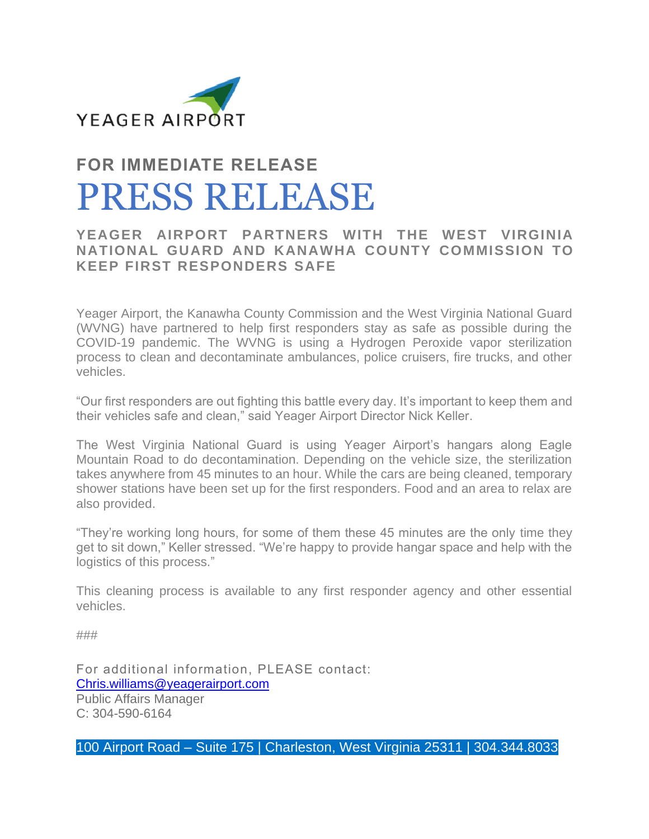

## **FOR IMMEDIATE RELEASE** PRESS RELEASE

## **YEAGER AIRPORT PARTNERS WITH THE WEST VIRGINIA NATIONAL GUARD AND KANAWHA COUNTY COMMISSION TO KEEP FIRST RESPONDERS SAFE**

Yeager Airport, the Kanawha County Commission and the West Virginia National Guard (WVNG) have partnered to help first responders stay as safe as possible during the COVID-19 pandemic. The WVNG is using a Hydrogen Peroxide vapor sterilization process to clean and decontaminate ambulances, police cruisers, fire trucks, and other vehicles.

"Our first responders are out fighting this battle every day. It's important to keep them and their vehicles safe and clean," said Yeager Airport Director Nick Keller.

The West Virginia National Guard is using Yeager Airport's hangars along Eagle Mountain Road to do decontamination. Depending on the vehicle size, the sterilization takes anywhere from 45 minutes to an hour. While the cars are being cleaned, temporary shower stations have been set up for the first responders. Food and an area to relax are also provided.

"They're working long hours, for some of them these 45 minutes are the only time they get to sit down," Keller stressed. "We're happy to provide hangar space and help with the logistics of this process."

This cleaning process is available to any first responder agency and other essential vehicles.

###

For additional information, PLEASE contact: [Chris.williams@yeagerairport.com](mailto:chris.williams@yeagerairport.com) Public Affairs Manager C: 304-590-6164

100 Airport Road – Suite 175 | Charleston, West Virginia 25311 | 304.344.8033